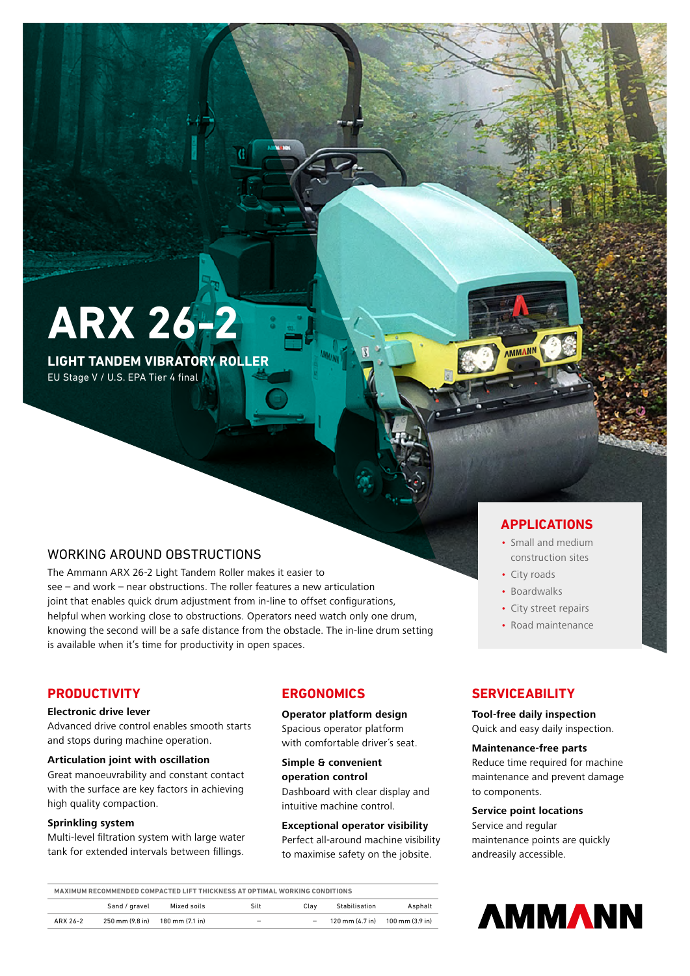# **ARX 26-2**

**LIGHT TANDEM VIBRATORY ROLLER** EU Stage V / U.S. EPA Tier 4 final

### WORKING AROUND OBSTRUCTIONS

The Ammann ARX 26-2 Light Tandem Roller makes it easier to see – and work – near obstructions. The roller features a new articulation joint that enables quick drum adjustment from in-line to offset configurations, helpful when working close to obstructions. Operators need watch only one drum, knowing the second will be a safe distance from the obstacle. The in-line drum setting is available when it's time for productivity in open spaces.

#### **PRODUCTIVITY**

#### **Electronic drive lever**

Advanced drive control enables smooth starts and stops during machine operation.

#### **Articulation joint with oscillation**

Great manoeuvrability and constant contact with the surface are key factors in achieving high quality compaction.

#### **Sprinkling system**

Multi-level filtration system with large water tank for extended intervals between fillings.

### **ERGONOMICS**

**Operator platform design** Spacious operator platform with comfortable driver´s seat.

**Simple & convenient operation control**  Dashboard with clear display and intuitive machine control.

**Exceptional operator visibility** Perfect all-around machine visibility to maximise safety on the jobsite.

#### **APPLICATIONS**

- Small and medium construction sites
- City roads
- Boardwalks
- City street repairs
- Road maintenance

#### **SERVICEABILITY**

**Tool-free daily inspection** Quick and easy daily inspection.

#### **Maintenance-free parts**

Reduce time required for machine maintenance and prevent damage to components.

#### **Service point locations**

Service and regular maintenance points are quickly andreasily accessible.